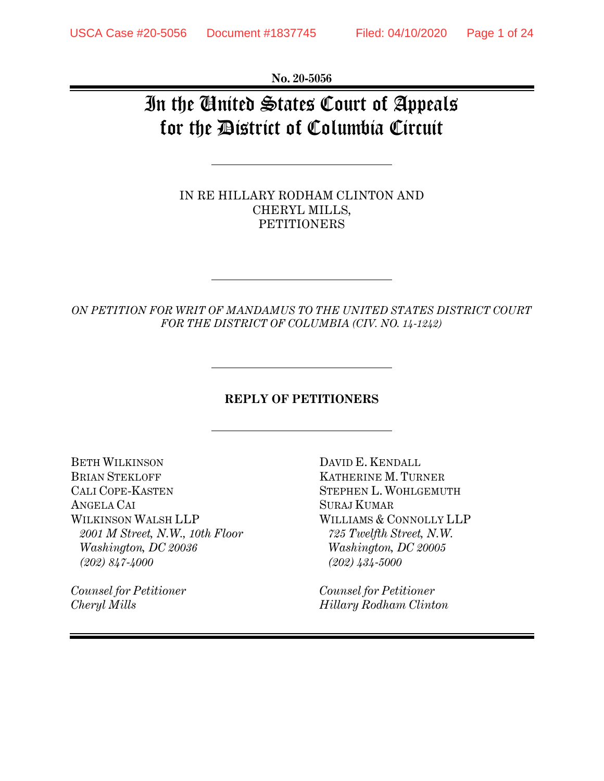**No. 20-5056** 

# In the United States Court of Appeals for the District of Columbia Circuit

IN RE HILLARY RODHAM CLINTON AND CHERYL MILLS, **PETITIONERS** 

*ON PETITION FOR WRIT OF MANDAMUS TO THE UNITED STATES DISTRICT COURT FOR THE DISTRICT OF COLUMBIA (CIV. NO. 14-1242)* 

#### **REPLY OF PETITIONERS**

BETH WILKINSON DAVID E. KENDALL BRIAN STEKLOFF **KATHERINE M. TURNER** CALI COPE-KASTEN STEPHEN L. WOHLGEMUTH ANGELA CAI SURAJ KUMAR WILKINSON WALSH LLP WILLIAMS & CONNOLLY LLP *2001 M Street, N.W., 10th Floor 725 Twelfth Street, N.W. Washington, DC 20036 Washington, DC 20005 (202) 847-4000 (202) 434-5000* 

*Counsel for Petitioner Counsel for Petitioner* 

*Cheryl Mills Hillary Rodham Clinton*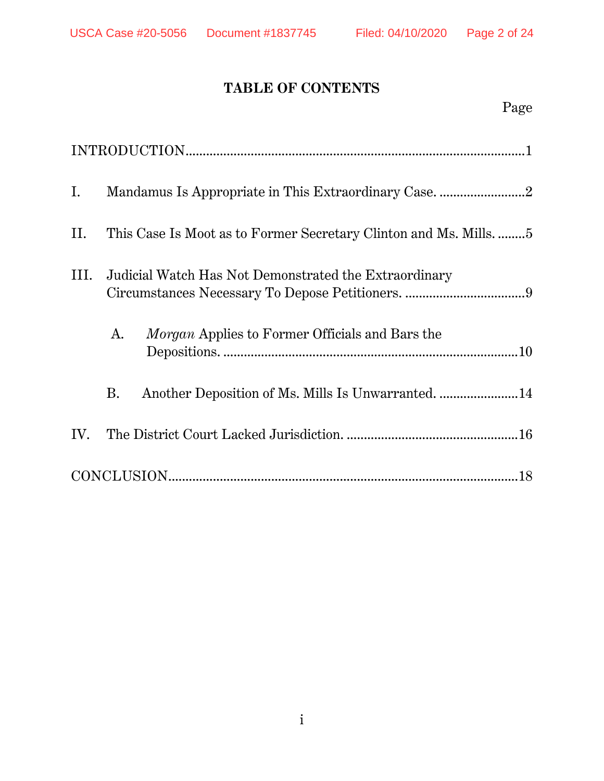## **TABLE OF CONTENTS**

| Ι.   |                                                                   |
|------|-------------------------------------------------------------------|
| II.  | This Case Is Moot as to Former Secretary Clinton and Ms. Mills. 5 |
| III. | Judicial Watch Has Not Demonstrated the Extraordinary             |
|      | <i>Morgan</i> Applies to Former Officials and Bars the<br>A.      |
|      | Another Deposition of Ms. Mills Is Unwarranted.  14<br><b>B.</b>  |
| IV.  |                                                                   |
|      |                                                                   |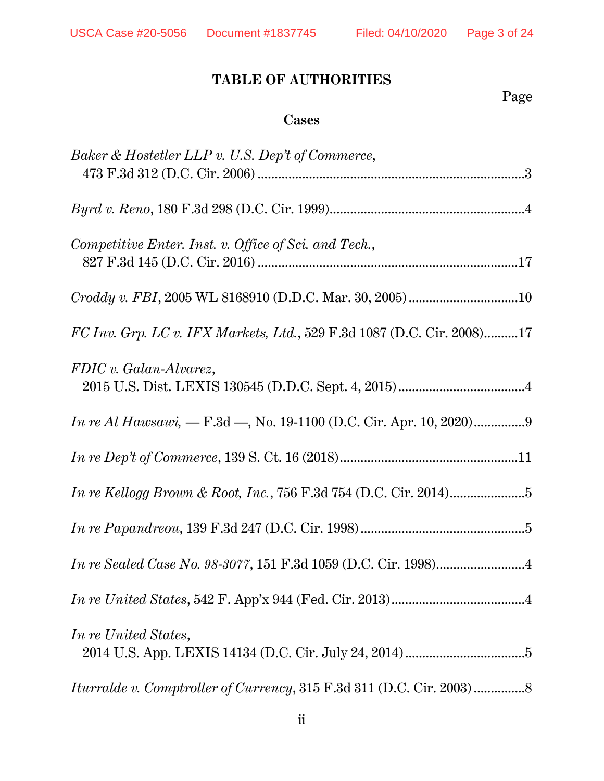## **TABLE OF AUTHORITIES**

Page **Page** 

### **Cases**

| Baker & Hostetler LLP v. U.S. Dep't of Commerce,                       |
|------------------------------------------------------------------------|
|                                                                        |
| Competitive Enter. Inst. v. Office of Sci. and Tech.,                  |
|                                                                        |
| FC Inv. Grp. LC v. IFX Markets, Ltd., 529 F.3d 1087 (D.C. Cir. 2008)17 |
| FDIC v. Galan-Alvarez,                                                 |
|                                                                        |
|                                                                        |
|                                                                        |
|                                                                        |
|                                                                        |
|                                                                        |
| In re United States,                                                   |
|                                                                        |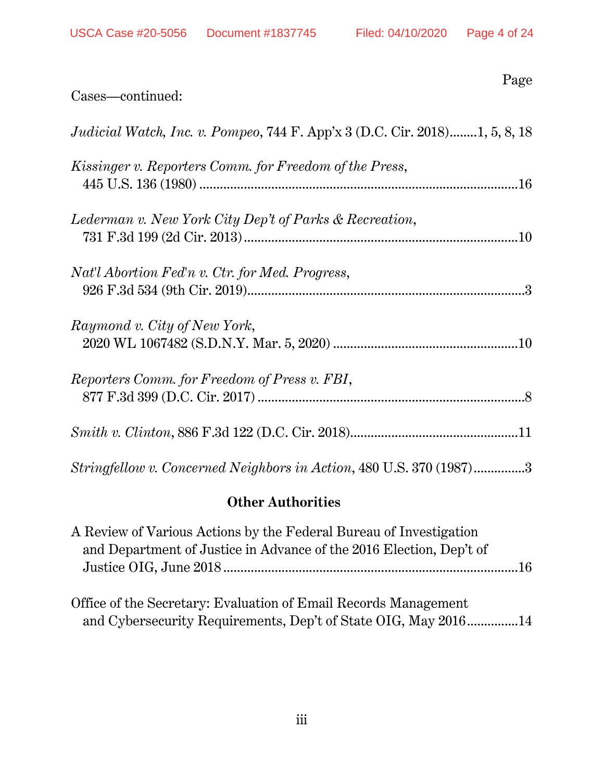| Cases—continued:                                                                  | Page |
|-----------------------------------------------------------------------------------|------|
| <i>Judicial Watch, Inc. v. Pompeo, 744 F. App'x 3 (D.C. Cir. 2018)1, 5, 8, 18</i> |      |
| Kissinger v. Reporters Comm. for Freedom of the Press,                            |      |
| Lederman v. New York City Dep't of Parks & Recreation,                            |      |
| Nat'l Abortion Fed'n v. Ctr. for Med. Progress,                                   |      |
| Raymond v. City of New York,                                                      |      |
| Reporters Comm. for Freedom of Press v. FBI,                                      |      |
|                                                                                   |      |
| Stringfellow v. Concerned Neighbors in Action, 480 U.S. 370 (1987)3               |      |

## **Other Authorities**

| A Review of Various Actions by the Federal Bureau of Investigation  |  |
|---------------------------------------------------------------------|--|
| and Department of Justice in Advance of the 2016 Election, Dep't of |  |
|                                                                     |  |
|                                                                     |  |
| Office of the Secretary: Evaluation of Email Records Management     |  |
| and Cybersecurity Requirements, Dep't of State OIG, May 201614      |  |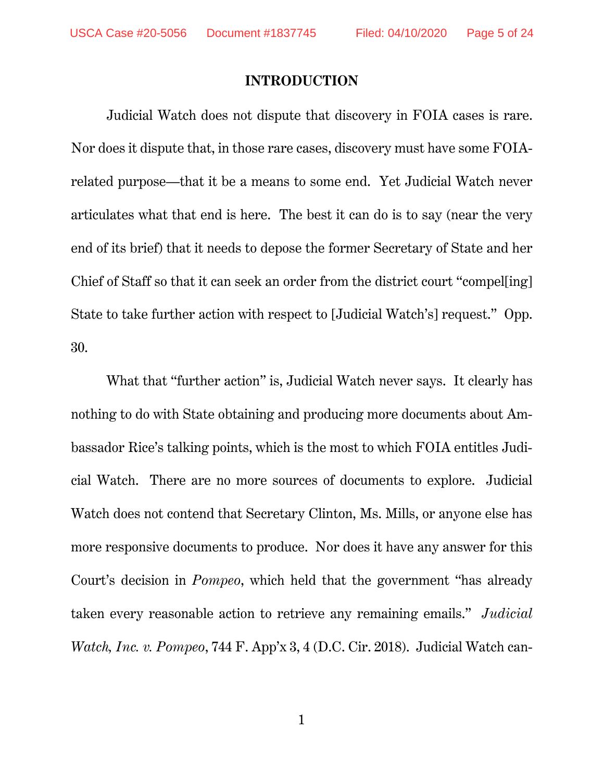#### **INTRODUCTION**

Judicial Watch does not dispute that discovery in FOIA cases is rare. Nor does it dispute that, in those rare cases, discovery must have some FOIArelated purpose—that it be a means to some end. Yet Judicial Watch never articulates what that end is here. The best it can do is to say (near the very end of its brief) that it needs to depose the former Secretary of State and her Chief of Staff so that it can seek an order from the district court "compel[ing] State to take further action with respect to [Judicial Watch's] request." Opp. 30.

What that "further action" is, Judicial Watch never says. It clearly has nothing to do with State obtaining and producing more documents about Ambassador Rice's talking points, which is the most to which FOIA entitles Judicial Watch. There are no more sources of documents to explore. Judicial Watch does not contend that Secretary Clinton, Ms. Mills, or anyone else has more responsive documents to produce. Nor does it have any answer for this Court's decision in *Pompeo*, which held that the government "has already taken every reasonable action to retrieve any remaining emails." *Judicial Watch, Inc. v. Pompeo*, 744 F. App'x 3, 4 (D.C. Cir. 2018). Judicial Watch can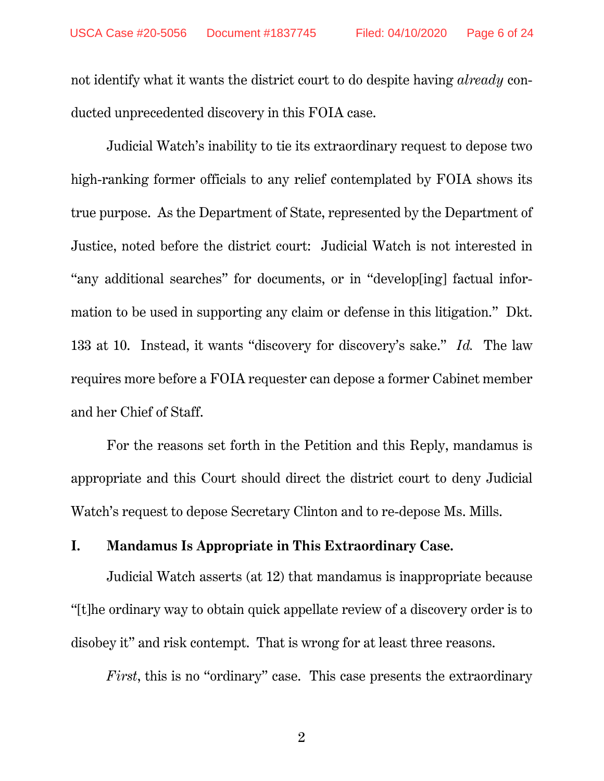not identify what it wants the district court to do despite having *already* conducted unprecedented discovery in this FOIA case.

Judicial Watch's inability to tie its extraordinary request to depose two high-ranking former officials to any relief contemplated by FOIA shows its true purpose. As the Department of State, represented by the Department of Justice, noted before the district court: Judicial Watch is not interested in "any additional searches" for documents, or in "develop[ing] factual information to be used in supporting any claim or defense in this litigation." Dkt. 133 at 10. Instead, it wants "discovery for discovery's sake." *Id.* The law requires more before a FOIA requester can depose a former Cabinet member and her Chief of Staff.

For the reasons set forth in the Petition and this Reply, mandamus is appropriate and this Court should direct the district court to deny Judicial Watch's request to depose Secretary Clinton and to re-depose Ms. Mills.

## **I. Mandamus Is Appropriate in This Extraordinary Case.**

 Judicial Watch asserts (at 12) that mandamus is inappropriate because "[t]he ordinary way to obtain quick appellate review of a discovery order is to disobey it" and risk contempt. That is wrong for at least three reasons.

*First*, this is no "ordinary" case. This case presents the extraordinary

2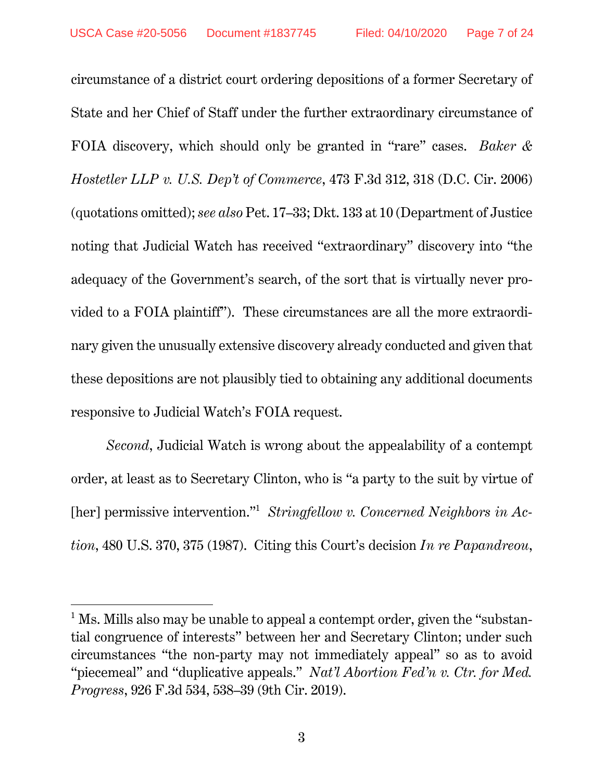circumstance of a district court ordering depositions of a former Secretary of State and her Chief of Staff under the further extraordinary circumstance of FOIA discovery, which should only be granted in "rare" cases. *Baker & Hostetler LLP v. U.S. Dep't of Commerce*, 473 F.3d 312, 318 (D.C. Cir. 2006) (quotations omitted); *see also* Pet. 17–33; Dkt. 133 at 10 (Department of Justice noting that Judicial Watch has received "extraordinary" discovery into "the adequacy of the Government's search, of the sort that is virtually never provided to a FOIA plaintiff"). These circumstances are all the more extraordinary given the unusually extensive discovery already conducted and given that these depositions are not plausibly tied to obtaining any additional documents responsive to Judicial Watch's FOIA request.

*Second*, Judicial Watch is wrong about the appealability of a contempt order, at least as to Secretary Clinton, who is "a party to the suit by virtue of [her] permissive intervention."<sup>1</sup> Stringfellow v. Concerned Neighbors in Ac*tion*, 480 U.S. 370, 375 (1987). Citing this Court's decision *In re Papandreou*,

 $1$  Ms. Mills also may be unable to appeal a contempt order, given the "substantial congruence of interests" between her and Secretary Clinton; under such circumstances "the non-party may not immediately appeal" so as to avoid "piecemeal" and "duplicative appeals." *Nat'l Abortion Fed'n v. Ctr. for Med. Progress*, 926 F.3d 534, 538–39 (9th Cir. 2019).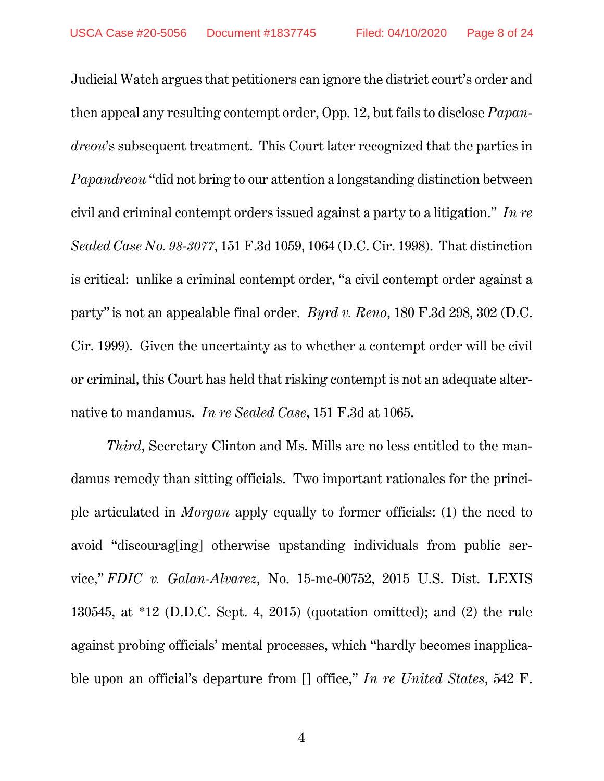Judicial Watch argues that petitioners can ignore the district court's order and then appeal any resulting contempt order, Opp. 12, but fails to disclose *Papandreou*'s subsequent treatment. This Court later recognized that the parties in *Papandreou* "did not bring to our attention a longstanding distinction between civil and criminal contempt orders issued against a party to a litigation." *In re Sealed Case No. 98-3077*, 151 F.3d 1059, 1064 (D.C. Cir. 1998). That distinction is critical: unlike a criminal contempt order, "a civil contempt order against a party" is not an appealable final order. *Byrd v. Reno*, 180 F.3d 298, 302 (D.C. Cir. 1999). Given the uncertainty as to whether a contempt order will be civil or criminal, this Court has held that risking contempt is not an adequate alternative to mandamus. *In re Sealed Case*, 151 F.3d at 1065.

*Third*, Secretary Clinton and Ms. Mills are no less entitled to the mandamus remedy than sitting officials. Two important rationales for the principle articulated in *Morgan* apply equally to former officials: (1) the need to avoid "discourag[ing] otherwise upstanding individuals from public service," *FDIC v. Galan-Alvarez*, No. 15-mc-00752, 2015 U.S. Dist. LEXIS 130545, at \*12 (D.D.C. Sept. 4, 2015) (quotation omitted); and (2) the rule against probing officials' mental processes, which "hardly becomes inapplicable upon an official's departure from [] office," *In re United States*, 542 F.

4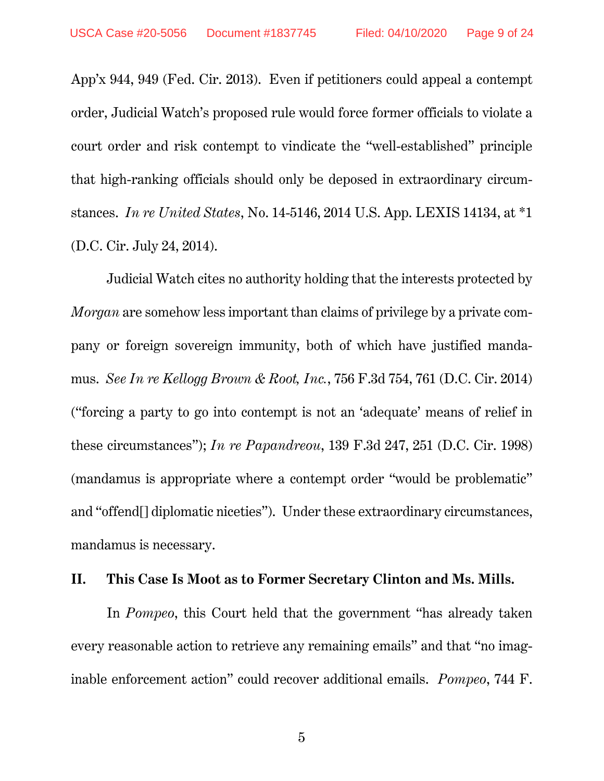App'x 944, 949 (Fed. Cir. 2013). Even if petitioners could appeal a contempt order, Judicial Watch's proposed rule would force former officials to violate a court order and risk contempt to vindicate the "well-established" principle that high-ranking officials should only be deposed in extraordinary circumstances. *In re United States*, No. 14-5146, 2014 U.S. App. LEXIS 14134, at \*1 (D.C. Cir. July 24, 2014).

 Judicial Watch cites no authority holding that the interests protected by *Morgan* are somehow less important than claims of privilege by a private company or foreign sovereign immunity, both of which have justified mandamus. *See In re Kellogg Brown & Root, Inc.*, 756 F.3d 754, 761 (D.C. Cir. 2014) ("forcing a party to go into contempt is not an 'adequate' means of relief in these circumstances"); *In re Papandreou*, 139 F.3d 247, 251 (D.C. Cir. 1998) (mandamus is appropriate where a contempt order "would be problematic" and "offend[] diplomatic niceties"). Under these extraordinary circumstances, mandamus is necessary.

#### **II. This Case Is Moot as to Former Secretary Clinton and Ms. Mills.**

In *Pompeo*, this Court held that the government "has already taken every reasonable action to retrieve any remaining emails" and that "no imaginable enforcement action" could recover additional emails. *Pompeo*, 744 F.

5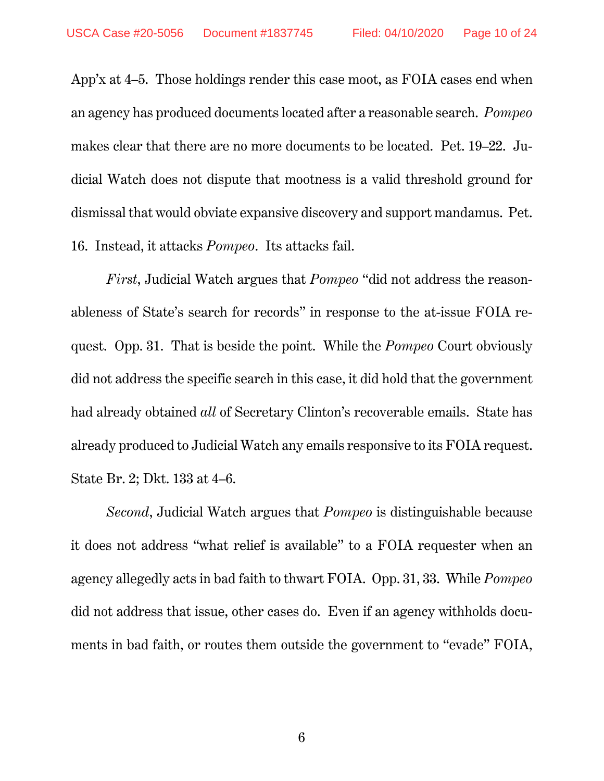App'x at 4–5. Those holdings render this case moot, as FOIA cases end when an agency has produced documents located after a reasonable search. *Pompeo* makes clear that there are no more documents to be located. Pet. 19–22. Judicial Watch does not dispute that mootness is a valid threshold ground for dismissal that would obviate expansive discovery and support mandamus. Pet. 16. Instead, it attacks *Pompeo*. Its attacks fail.

*First*, Judicial Watch argues that *Pompeo* "did not address the reasonableness of State's search for records" in response to the at-issue FOIA request. Opp. 31. That is beside the point. While the *Pompeo* Court obviously did not address the specific search in this case, it did hold that the government had already obtained *all* of Secretary Clinton's recoverable emails. State has already produced to Judicial Watch any emails responsive to its FOIA request. State Br. 2; Dkt. 133 at 4–6.

*Second*, Judicial Watch argues that *Pompeo* is distinguishable because it does not address "what relief is available" to a FOIA requester when an agency allegedly acts in bad faith to thwart FOIA. Opp. 31, 33. While *Pompeo* did not address that issue, other cases do. Even if an agency withholds documents in bad faith, or routes them outside the government to "evade" FOIA,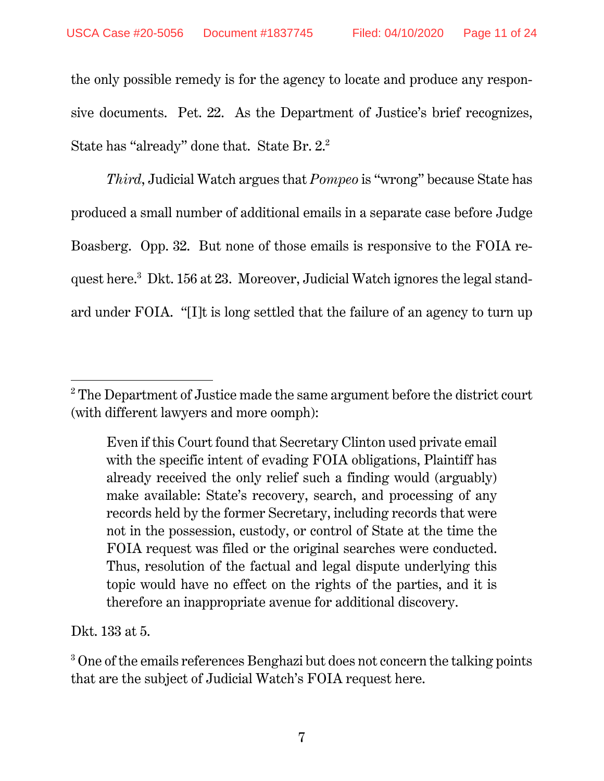the only possible remedy is for the agency to locate and produce any responsive documents. Pet. 22. As the Department of Justice's brief recognizes, State has "already" done that. State Br. 2.<sup>2</sup>

*Third*, Judicial Watch argues that *Pompeo* is "wrong" because State has produced a small number of additional emails in a separate case before Judge Boasberg. Opp. 32. But none of those emails is responsive to the FOIA request here.<sup>3</sup> Dkt. 156 at 23. Moreover, Judicial Watch ignores the legal standard under FOIA. "[I]t is long settled that the failure of an agency to turn up

Dkt. 133 at 5.

 $\overline{a}$ 

<sup>3</sup> One of the emails references Benghazi but does not concern the talking points that are the subject of Judicial Watch's FOIA request here.

 $2^2$  The Department of Justice made the same argument before the district court (with different lawyers and more oomph):

Even if this Court found that Secretary Clinton used private email with the specific intent of evading FOIA obligations, Plaintiff has already received the only relief such a finding would (arguably) make available: State's recovery, search, and processing of any records held by the former Secretary, including records that were not in the possession, custody, or control of State at the time the FOIA request was filed or the original searches were conducted. Thus, resolution of the factual and legal dispute underlying this topic would have no effect on the rights of the parties, and it is therefore an inappropriate avenue for additional discovery.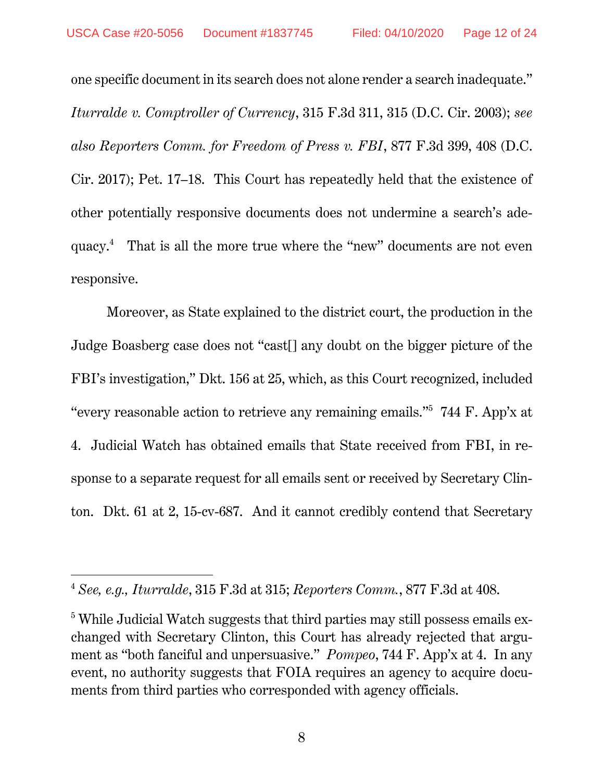one specific document in its search does not alone render a search inadequate." *Iturralde v. Comptroller of Currency*, 315 F.3d 311, 315 (D.C. Cir. 2003); *see also Reporters Comm. for Freedom of Press v. FBI*, 877 F.3d 399, 408 (D.C. Cir. 2017); Pet. 17–18. This Court has repeatedly held that the existence of other potentially responsive documents does not undermine a search's adequacy.4 That is all the more true where the "new" documents are not even responsive.

Moreover, as State explained to the district court, the production in the Judge Boasberg case does not "cast[] any doubt on the bigger picture of the FBI's investigation," Dkt. 156 at 25, which, as this Court recognized, included "every reasonable action to retrieve any remaining emails."5 744 F. App'x at 4. Judicial Watch has obtained emails that State received from FBI, in response to a separate request for all emails sent or received by Secretary Clinton. Dkt. 61 at 2, 15-cv-687. And it cannot credibly contend that Secretary

<sup>4</sup> *See, e.g., Iturralde*, 315 F.3d at 315; *Reporters Comm.*, 877 F.3d at 408.

 $^5$  While Judicial Watch suggests that third parties may still possess emails exchanged with Secretary Clinton, this Court has already rejected that argument as "both fanciful and unpersuasive." *Pompeo*, 744 F. App'x at 4.In any event, no authority suggests that FOIA requires an agency to acquire documents from third parties who corresponded with agency officials.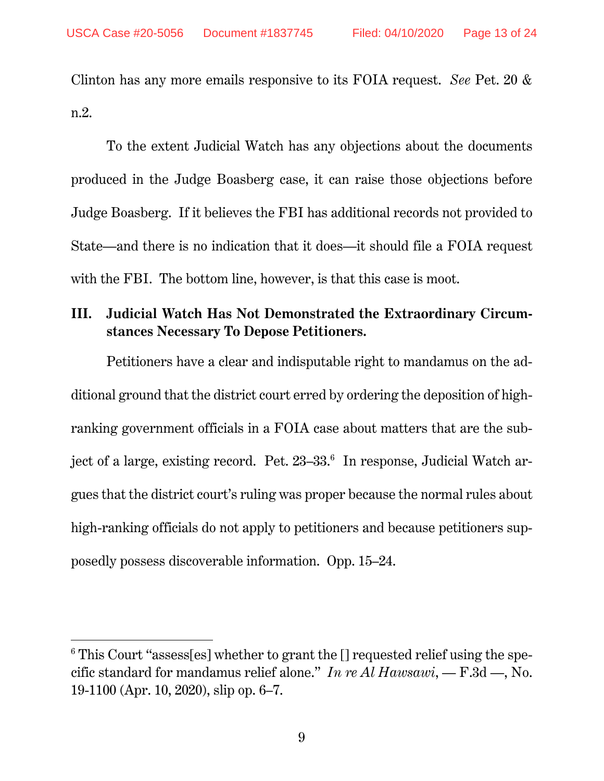Clinton has any more emails responsive to its FOIA request. *See* Pet. 20 & n.2.

To the extent Judicial Watch has any objections about the documents produced in the Judge Boasberg case, it can raise those objections before Judge Boasberg. If it believes the FBI has additional records not provided to State—and there is no indication that it does—it should file a FOIA request with the FBI. The bottom line, however, is that this case is moot.

## **III. Judicial Watch Has Not Demonstrated the Extraordinary Circumstances Necessary To Depose Petitioners.**

Petitioners have a clear and indisputable right to mandamus on the additional ground that the district court erred by ordering the deposition of highranking government officials in a FOIA case about matters that are the subject of a large, existing record. Pet.  $23-33.6$  In response, Judicial Watch argues that the district court's ruling was proper because the normal rules about high-ranking officials do not apply to petitioners and because petitioners supposedly possess discoverable information. Opp. 15–24.

 $^6$  This Court "assess[es] whether to grant the [] requested relief using the specific standard for mandamus relief alone." *In re Al Hawsawi*, — F.3d —, No. 19-1100 (Apr. 10, 2020), slip op. 6–7.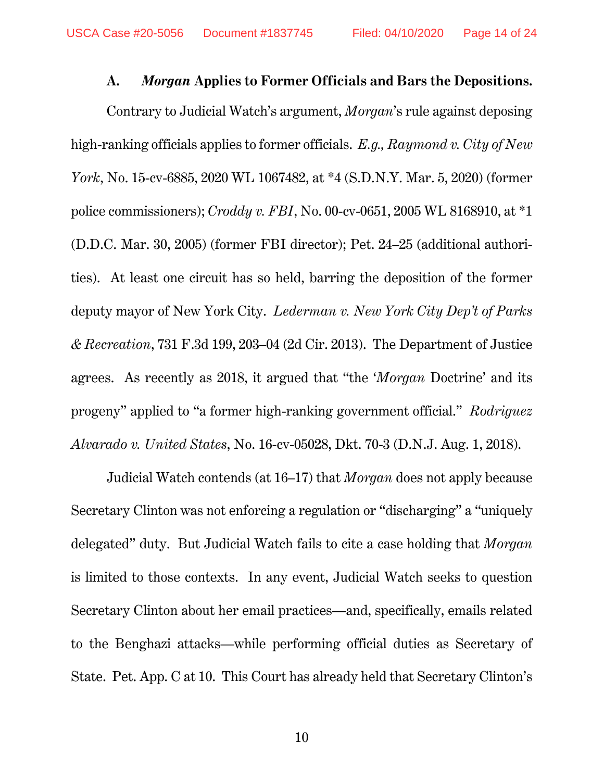#### **A.** *Morgan* **Applies to Former Officials and Bars the Depositions.**

Contrary to Judicial Watch's argument, *Morgan*'s rule against deposing high-ranking officials applies to former officials. *E.g., Raymond v. City of New York*, No. 15-cv-6885, 2020 WL 1067482, at \*4 (S.D.N.Y. Mar. 5, 2020) (former police commissioners); *Croddy v. FBI*, No. 00-cv-0651, 2005 WL 8168910, at \*1 (D.D.C. Mar. 30, 2005) (former FBI director); Pet. 24–25 (additional authorities). At least one circuit has so held, barring the deposition of the former deputy mayor of New York City. *Lederman v. New York City Dep't of Parks & Recreation*, 731 F.3d 199, 203–04 (2d Cir. 2013). The Department of Justice agrees. As recently as 2018, it argued that "the '*Morgan* Doctrine' and its progeny" applied to "a former high-ranking government official." *Rodriguez Alvarado v. United States*, No. 16-cv-05028, Dkt. 70-3 (D.N.J. Aug. 1, 2018).

Judicial Watch contends (at 16–17) that *Morgan* does not apply because Secretary Clinton was not enforcing a regulation or "discharging" a "uniquely delegated" duty. But Judicial Watch fails to cite a case holding that *Morgan* is limited to those contexts. In any event, Judicial Watch seeks to question Secretary Clinton about her email practices—and, specifically, emails related to the Benghazi attacks—while performing official duties as Secretary of State. Pet. App. C at 10. This Court has already held that Secretary Clinton's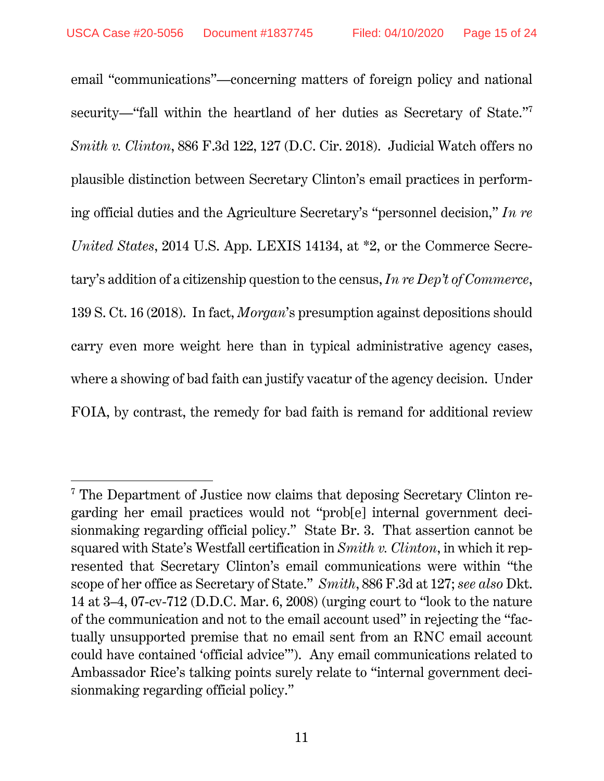email "communications"—concerning matters of foreign policy and national security—"fall within the heartland of her duties as Secretary of State."<sup>7</sup> *Smith v. Clinton*, 886 F.3d 122, 127 (D.C. Cir. 2018). Judicial Watch offers no plausible distinction between Secretary Clinton's email practices in performing official duties and the Agriculture Secretary's "personnel decision," *In re United States*, 2014 U.S. App. LEXIS 14134, at \*2, or the Commerce Secretary's addition of a citizenship question to the census, *In re Dep't of Commerce*, 139 S. Ct. 16 (2018). In fact, *Morgan*'s presumption against depositions should carry even more weight here than in typical administrative agency cases, where a showing of bad faith can justify vacatur of the agency decision. Under FOIA, by contrast, the remedy for bad faith is remand for additional review

<sup>&</sup>lt;sup>7</sup> The Department of Justice now claims that deposing Secretary Clinton regarding her email practices would not "prob[e] internal government decisionmaking regarding official policy." State Br. 3. That assertion cannot be squared with State's Westfall certification in *Smith v. Clinton*, in which it represented that Secretary Clinton's email communications were within "the scope of her office as Secretary of State." *Smith*, 886 F.3d at 127; *see also* Dkt. 14 at 3–4, 07-cv-712 (D.D.C. Mar. 6, 2008) (urging court to "look to the nature of the communication and not to the email account used" in rejecting the "factually unsupported premise that no email sent from an RNC email account could have contained 'official advice'"). Any email communications related to Ambassador Rice's talking points surely relate to "internal government decisionmaking regarding official policy."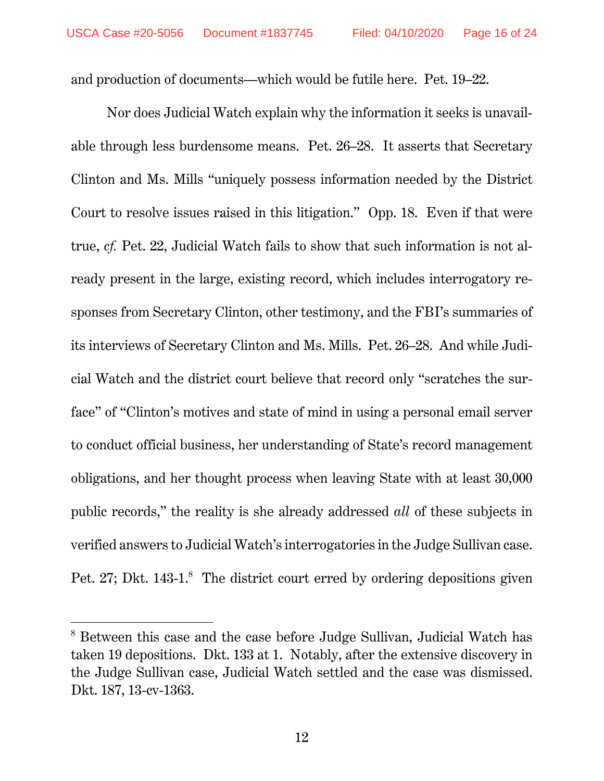and production of documents—which would be futile here. Pet. 19–22.

Nor does Judicial Watch explain why the information it seeks is unavailable through less burdensome means. Pet. 26–28. It asserts that Secretary Clinton and Ms. Mills "uniquely possess information needed by the District Court to resolve issues raised in this litigation." Opp. 18. Even if that were true, *cf.* Pet. 22, Judicial Watch fails to show that such information is not already present in the large, existing record, which includes interrogatory responses from Secretary Clinton, other testimony, and the FBI's summaries of its interviews of Secretary Clinton and Ms. Mills. Pet. 26–28. And while Judicial Watch and the district court believe that record only "scratches the surface" of "Clinton's motives and state of mind in using a personal email server to conduct official business, her understanding of State's record management obligations, and her thought process when leaving State with at least 30,000 public records," the reality is she already addressed *all* of these subjects in verified answers to Judicial Watch's interrogatories in the Judge Sullivan case. Pet. 27; Dkt. 143-1.<sup>8</sup> The district court erred by ordering depositions given

<sup>&</sup>lt;sup>8</sup> Between this case and the case before Judge Sullivan, Judicial Watch has taken 19 depositions. Dkt. 133 at 1. Notably, after the extensive discovery in the Judge Sullivan case, Judicial Watch settled and the case was dismissed. Dkt. 187, 13-cv-1363.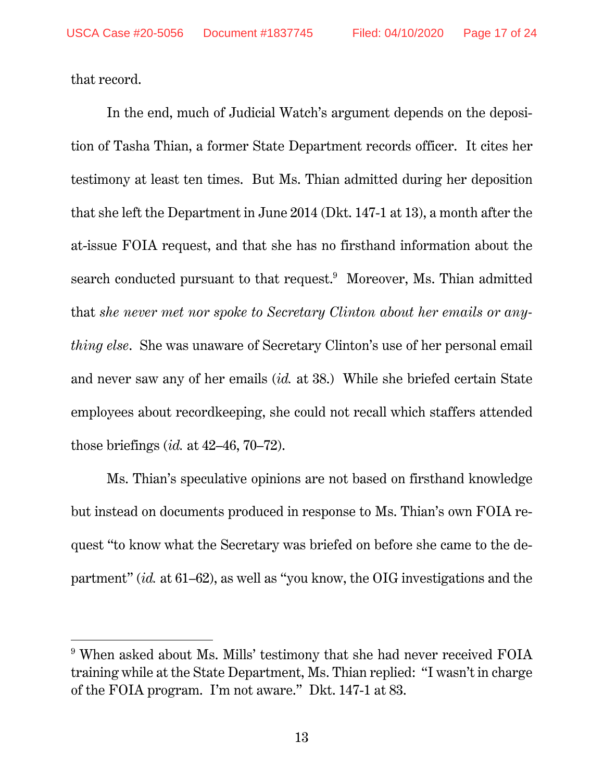that record.

 $\overline{a}$ 

In the end, much of Judicial Watch's argument depends on the deposition of Tasha Thian, a former State Department records officer. It cites her testimony at least ten times. But Ms. Thian admitted during her deposition that she left the Department in June 2014 (Dkt. 147-1 at 13), a month after the at-issue FOIA request, and that she has no firsthand information about the search conducted pursuant to that request.<sup>9</sup> Moreover, Ms. Thian admitted that *she never met nor spoke to Secretary Clinton about her emails or anything else*. She was unaware of Secretary Clinton's use of her personal email and never saw any of her emails (*id.* at 38.) While she briefed certain State employees about recordkeeping, she could not recall which staffers attended those briefings (*id.* at 42–46, 70–72).

Ms. Thian's speculative opinions are not based on firsthand knowledge but instead on documents produced in response to Ms. Thian's own FOIA request "to know what the Secretary was briefed on before she came to the department" (*id.* at 61–62), as well as "you know, the OIG investigations and the

<sup>&</sup>lt;sup>9</sup> When asked about Ms. Mills' testimony that she had never received FOIA training while at the State Department, Ms. Thian replied: "I wasn't in charge of the FOIA program. I'm not aware." Dkt. 147-1 at 83.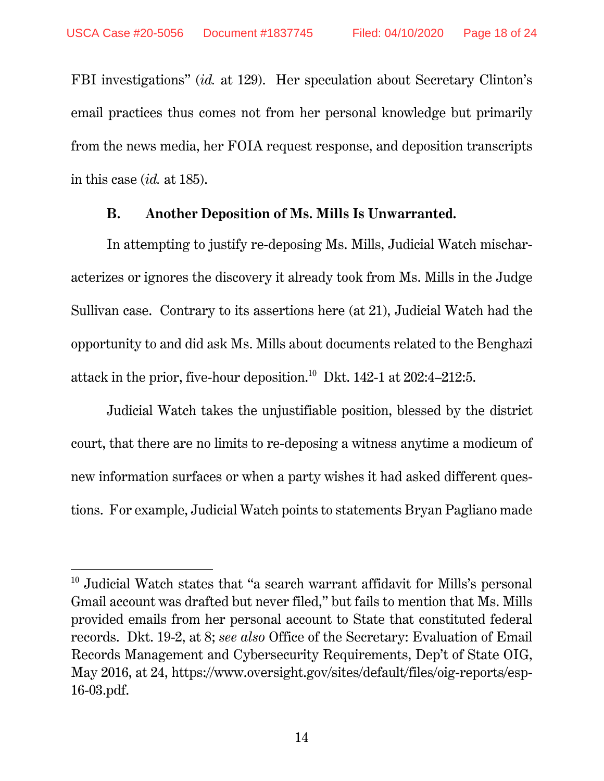$\overline{a}$ 

FBI investigations" (*id.* at 129). Her speculation about Secretary Clinton's email practices thus comes not from her personal knowledge but primarily from the news media, her FOIA request response, and deposition transcripts in this case (*id.* at 185).

#### **B. Another Deposition of Ms. Mills Is Unwarranted.**

In attempting to justify re-deposing Ms. Mills, Judicial Watch mischaracterizes or ignores the discovery it already took from Ms. Mills in the Judge Sullivan case. Contrary to its assertions here (at 21), Judicial Watch had the opportunity to and did ask Ms. Mills about documents related to the Benghazi attack in the prior, five-hour deposition.10 Dkt. 142-1 at 202:4–212:5.

Judicial Watch takes the unjustifiable position, blessed by the district court, that there are no limits to re-deposing a witness anytime a modicum of new information surfaces or when a party wishes it had asked different questions. For example, Judicial Watch points to statements Bryan Pagliano made

<sup>&</sup>lt;sup>10</sup> Judicial Watch states that "a search warrant affidavit for Mills's personal Gmail account was drafted but never filed," but fails to mention that Ms. Mills provided emails from her personal account to State that constituted federal records. Dkt. 19-2, at 8; *see also* Office of the Secretary: Evaluation of Email Records Management and Cybersecurity Requirements, Dep't of State OIG, May 2016, at 24, https://www.oversight.gov/sites/default/files/oig-reports/esp-16-03.pdf.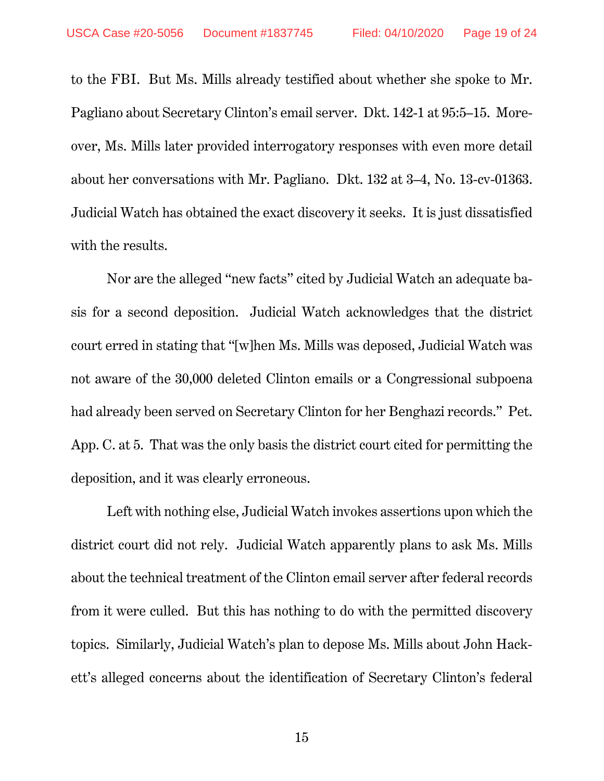to the FBI. But Ms. Mills already testified about whether she spoke to Mr. Pagliano about Secretary Clinton's email server. Dkt. 142-1 at 95:5–15. Moreover, Ms. Mills later provided interrogatory responses with even more detail about her conversations with Mr. Pagliano. Dkt. 132 at 3–4, No. 13-cv-01363. Judicial Watch has obtained the exact discovery it seeks. It is just dissatisfied with the results.

Nor are the alleged "new facts" cited by Judicial Watch an adequate basis for a second deposition. Judicial Watch acknowledges that the district court erred in stating that "[w]hen Ms. Mills was deposed, Judicial Watch was not aware of the 30,000 deleted Clinton emails or a Congressional subpoena had already been served on Secretary Clinton for her Benghazi records." Pet. App. C. at 5. That was the only basis the district court cited for permitting the deposition, and it was clearly erroneous.

Left with nothing else, Judicial Watch invokes assertions upon which the district court did not rely. Judicial Watch apparently plans to ask Ms. Mills about the technical treatment of the Clinton email server after federal records from it were culled. But this has nothing to do with the permitted discovery topics. Similarly, Judicial Watch's plan to depose Ms. Mills about John Hackett's alleged concerns about the identification of Secretary Clinton's federal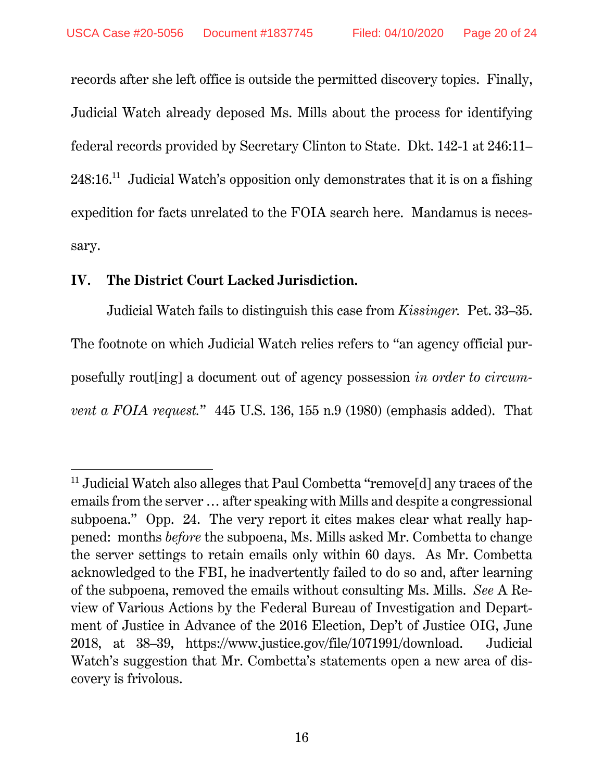records after she left office is outside the permitted discovery topics. Finally, Judicial Watch already deposed Ms. Mills about the process for identifying federal records provided by Secretary Clinton to State. Dkt. 142-1 at 246:11–  $248:16<sup>11</sup>$  Judicial Watch's opposition only demonstrates that it is on a fishing expedition for facts unrelated to the FOIA search here. Mandamus is necessary.

#### **IV. The District Court Lacked Jurisdiction.**

 $\overline{a}$ 

Judicial Watch fails to distinguish this case from *Kissinger.* Pet. 33–35. The footnote on which Judicial Watch relies refers to "an agency official purposefully rout[ing] a document out of agency possession *in order to circumvent a FOIA request.*" 445 U.S. 136, 155 n.9 (1980) (emphasis added). That

<sup>&</sup>lt;sup>11</sup> Judicial Watch also alleges that Paul Combetta "remove[d] any traces of the emails from the server … after speaking with Mills and despite a congressional subpoena." Opp. 24. The very report it cites makes clear what really happened: months *before* the subpoena, Ms. Mills asked Mr. Combetta to change the server settings to retain emails only within 60 days. As Mr. Combetta acknowledged to the FBI, he inadvertently failed to do so and, after learning of the subpoena, removed the emails without consulting Ms. Mills. *See* A Review of Various Actions by the Federal Bureau of Investigation and Department of Justice in Advance of the 2016 Election, Dep't of Justice OIG, June 2018, at 38–39, https://www.justice.gov/file/1071991/download. Judicial Watch's suggestion that Mr. Combetta's statements open a new area of discovery is frivolous.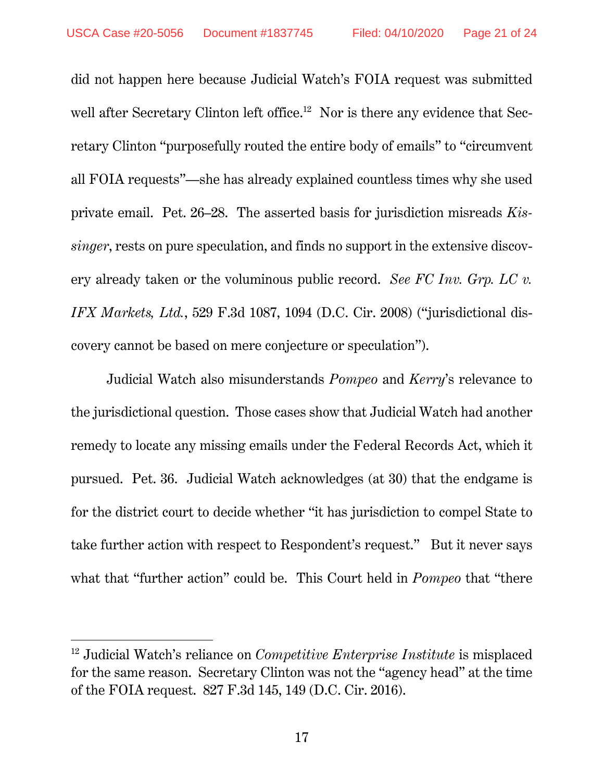$\overline{a}$ 

did not happen here because Judicial Watch's FOIA request was submitted well after Secretary Clinton left office.<sup>12</sup> Nor is there any evidence that Secretary Clinton "purposefully routed the entire body of emails" to "circumvent all FOIA requests"—she has already explained countless times why she used private email. Pet. 26–28. The asserted basis for jurisdiction misreads *Kissinger*, rests on pure speculation, and finds no support in the extensive discovery already taken or the voluminous public record. *See FC Inv. Grp. LC v. IFX Markets, Ltd.*, 529 F.3d 1087, 1094 (D.C. Cir. 2008) ("jurisdictional discovery cannot be based on mere conjecture or speculation").

Judicial Watch also misunderstands *Pompeo* and *Kerry*'s relevance to the jurisdictional question. Those cases show that Judicial Watch had another remedy to locate any missing emails under the Federal Records Act, which it pursued. Pet. 36. Judicial Watch acknowledges (at 30) that the endgame is for the district court to decide whether "it has jurisdiction to compel State to take further action with respect to Respondent's request." But it never says what that "further action" could be. This Court held in *Pompeo* that "there

<sup>12</sup> Judicial Watch's reliance on *Competitive Enterprise Institute* is misplaced for the same reason. Secretary Clinton was not the "agency head" at the time of the FOIA request. 827 F.3d 145, 149 (D.C. Cir. 2016).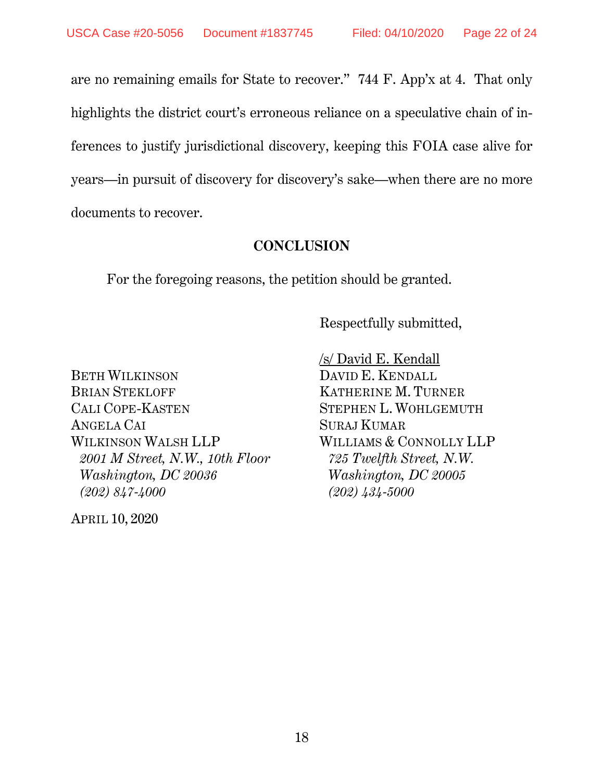are no remaining emails for State to recover." 744 F. App'x at 4. That only highlights the district court's erroneous reliance on a speculative chain of inferences to justify jurisdictional discovery, keeping this FOIA case alive for years—in pursuit of discovery for discovery's sake—when there are no more documents to recover.

### **CONCLUSION**

For the foregoing reasons, the petition should be granted.

Respectfully submitted,

BETH WILKINSON DAVID E. KENDALL BRIAN STEKLOFF KATHERINE M. TURNER CALI COPE-KASTEN STEPHEN L. WOHLGEMUTH ANGELA CAI SURAJ KUMAR WILKINSON WALSH LLP WILLIAMS & CONNOLLY LLP  *2001 M Street, N.W., 10th Floor 725 Twelfth Street, N.W. Washington, DC 20036 Washington, DC 20005 (202) 847-4000 (202) 434-5000* 

APRIL 10, 2020

/s/ David E. Kendall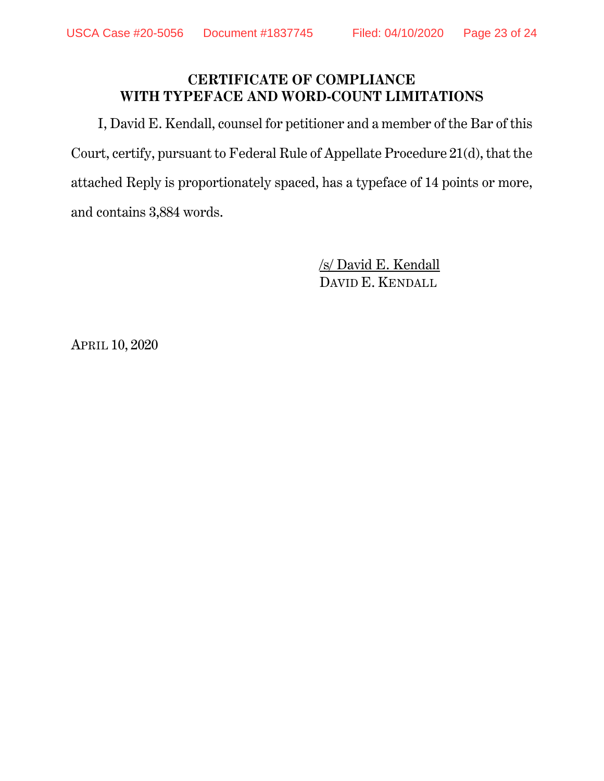## **CERTIFICATE OF COMPLIANCE WITH TYPEFACE AND WORD-COUNT LIMITATIONS**

 I, David E. Kendall, counsel for petitioner and a member of the Bar of this Court, certify, pursuant to Federal Rule of Appellate Procedure 21(d), that the attached Reply is proportionately spaced, has a typeface of 14 points or more, and contains 3,884 words.

> /s/ David E. Kendall DAVID E. KENDALL

APRIL 10, 2020